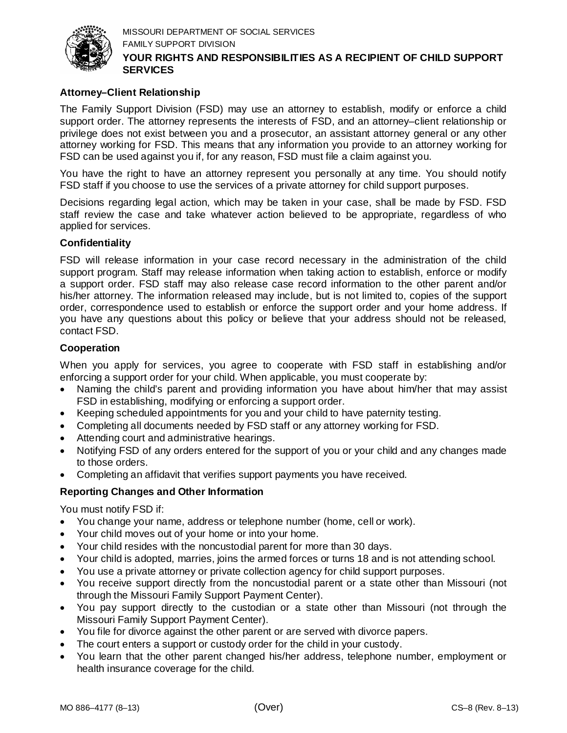

## **Attorney–Client Relationship**

The Family Support Division (FSD) may use an attorney to establish, modify or enforce a child support order. The attorney represents the interests of FSD, and an attorney–client relationship or privilege does not exist between you and a prosecutor, an assistant attorney general or any other attorney working for FSD. This means that any information you provide to an attorney working for FSD can be used against you if, for any reason, FSD must file a claim against you.

You have the right to have an attorney represent you personally at any time. You should notify FSD staff if you choose to use the services of a private attorney for child support purposes.

Decisions regarding legal action, which may be taken in your case, shall be made by FSD. FSD staff review the case and take whatever action believed to be appropriate, regardless of who applied for services.

## **Confidentiality**

FSD will release information in your case record necessary in the administration of the child support program. Staff may release information when taking action to establish, enforce or modify a support order. FSD staff may also release case record information to the other parent and/or his/her attorney. The information released may include, but is not limited to, copies of the support order, correspondence used to establish or enforce the support order and your home address. If you have any questions about this policy or believe that your address should not be released, contact FSD.

## **Cooperation**

When you apply for services, you agree to cooperate with FSD staff in establishing and/or enforcing a support order for your child. When applicable, you must cooperate by:

- Naming the child's parent and providing information you have about him/her that may assist FSD in establishing, modifying or enforcing a support order.
- Keeping scheduled appointments for you and your child to have paternity testing.
- Completing all documents needed by FSD staff or any attorney working for FSD.
- Attending court and administrative hearings.
- Notifying FSD of any orders entered for the support of you or your child and any changes made to those orders.
- Completing an affidavit that verifies support payments you have received.

## **Reporting Changes and Other Information**

You must notify FSD if:

- You change your name, address or telephone number (home, cell or work).
- Your child moves out of your home or into your home.
- Your child resides with the noncustodial parent for more than 30 days.
- Your child is adopted, marries, joins the armed forces or turns 18 and is not attending school.
- You use a private attorney or private collection agency for child support purposes.
- You receive support directly from the noncustodial parent or a state other than Missouri (not through the Missouri Family Support Payment Center).
- You pay support directly to the custodian or a state other than Missouri (not through the Missouri Family Support Payment Center).
- You file for divorce against the other parent or are served with divorce papers.
- The court enters a support or custody order for the child in your custody.
- You learn that the other parent changed his/her address, telephone number, employment or health insurance coverage for the child.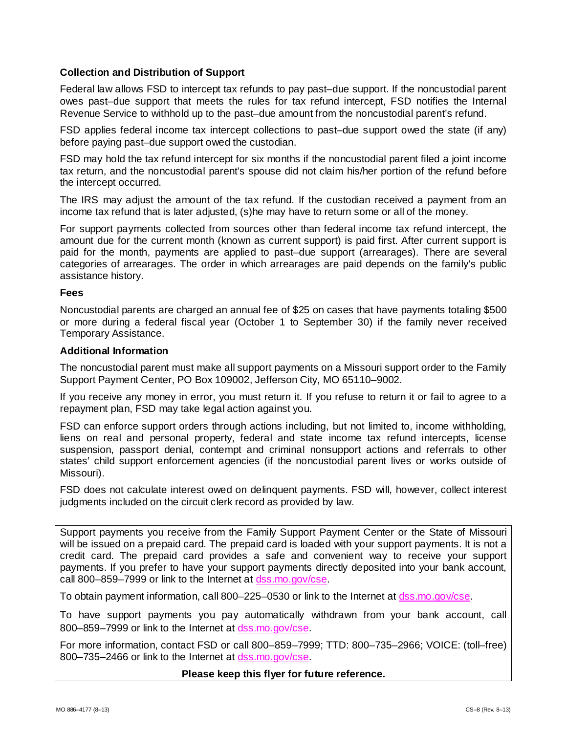## **Collection and Distribution of Support**

Federal law allows FSD to intercept tax refunds to pay past–due support. If the noncustodial parent owes past–due support that meets the rules for tax refund intercept, FSD notifies the Internal Revenue Service to withhold up to the past–due amount from the noncustodial parent's refund.

FSD applies federal income tax intercept collections to past–due support owed the state (if any) before paying past–due support owed the custodian.

FSD may hold the tax refund intercept for six months if the noncustodial parent filed a joint income tax return, and the noncustodial parent's spouse did not claim his/her portion of the refund before the intercept occurred.

The IRS may adjust the amount of the tax refund. If the custodian received a payment from an income tax refund that is later adjusted, (s)he may have to return some or all of the money.

For support payments collected from sources other than federal income tax refund intercept, the amount due for the current month (known as current support) is paid first. After current support is paid for the month, payments are applied to past–due support (arrearages). There are several categories of arrearages. The order in which arrearages are paid depends on the family's public assistance history.

### **Fees**

Noncustodial parents are charged an annual fee of \$25 on cases that have payments totaling \$500 or more during a federal fiscal year (October 1 to September 30) if the family never received Temporary Assistance.

### **Additional Information**

The noncustodial parent must make all support payments on a Missouri support order to the Family Support Payment Center, PO Box 109002, Jefferson City, MO 65110–9002.

If you receive any money in error, you must return it. If you refuse to return it or fail to agree to a repayment plan, FSD may take legal action against you.

FSD can enforce support orders through actions including, but not limited to, income withholding, liens on real and personal property, federal and state income tax refund intercepts, license suspension, passport denial, contempt and criminal nonsupport actions and referrals to other states' child support enforcement agencies (if the noncustodial parent lives or works outside of Missouri).

FSD does not calculate interest owed on delinquent payments. FSD will, however, collect interest judgments included on the circuit clerk record as provided by law.

Support payments you receive from the Family Support Payment Center or the State of Missouri will be issued on a prepaid card. The prepaid card is loaded with your support payments. It is not a credit card. The prepaid card provides a safe and convenient way to receive your support payments. If you prefer to have your support payments directly deposited into your bank account, call 800–859–7999 or link to the Internet at [dss.mo.gov/cse.](http://dss.mo.gov/cse/)

To obtain payment information, call 800–225–0530 or link to the Internet at [dss.mo.gov/cse.](http://dss.mo.gov/cse/)

To have support payments you pay automatically withdrawn from your bank account, call 800–859–7999 or link to the Internet at [dss.mo.gov/cse.](http://dss.mo.gov/cse/)

For more information, contact FSD or call 800–859–7999; TTD: 800–735–2966; VOICE: (toll–free) 800-735-2466 or link to the Internet at [dss.mo.gov/cse.](http://dss.mo.gov/cse/)

#### **Please keep this flyer for future reference.**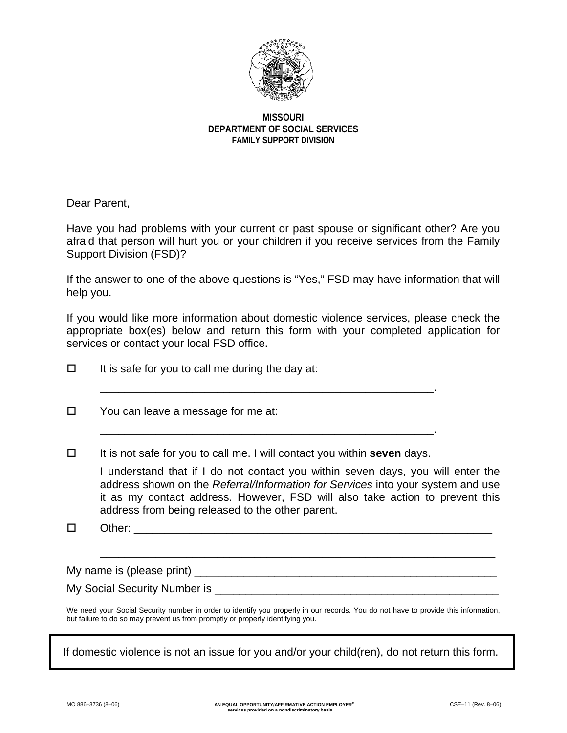

### **MISSOURI DEPARTMENT OF SOCIAL SERVICES FAMILY SUPPORT DIVISION**

Dear Parent,

Have you had problems with your current or past spouse or significant other? Are you afraid that person will hurt you or your children if you receive services from the Family Support Division (FSD)?

If the answer to one of the above questions is "Yes," FSD may have information that will help you.

If you would like more information about domestic violence services, please check the appropriate box(es) below and return this form with your completed application for services or contact your local FSD office.

| □ | It is safe for you to call me during the day at:                                                                                                                                                                                                                                                                                                                                          |
|---|-------------------------------------------------------------------------------------------------------------------------------------------------------------------------------------------------------------------------------------------------------------------------------------------------------------------------------------------------------------------------------------------|
| □ | You can leave a message for me at:                                                                                                                                                                                                                                                                                                                                                        |
| □ | It is not safe for you to call me. I will contact you within <b>seven</b> days.<br>I understand that if I do not contact you within seven days, you will enter the<br>address shown on the Referral/Information for Services into your system and use<br>it as my contact address. However, FSD will also take action to prevent this<br>address from being released to the other parent. |

Other: \_\_\_\_\_\_\_\_\_\_\_\_\_\_\_\_\_\_\_\_\_\_\_\_\_\_\_\_\_\_\_\_\_\_\_\_\_\_\_\_\_\_\_\_\_\_\_\_\_\_\_\_\_\_\_\_\_\_

\_\_\_\_\_\_\_\_\_\_\_\_\_\_\_\_\_\_\_\_\_\_\_\_\_\_\_\_\_\_\_\_\_\_\_\_\_\_\_\_\_\_\_\_\_\_\_\_\_\_\_\_\_\_\_\_\_\_\_\_\_\_\_\_

My name is (please print)

My Social Security Number is \_\_\_\_\_\_\_\_\_\_\_\_\_\_\_\_\_\_\_\_\_\_\_\_\_\_\_\_\_\_\_\_\_\_\_\_\_\_\_\_\_\_\_\_\_\_

We need your Social Security number in order to identify you properly in our records. You do not have to provide this information, but failure to do so may prevent us from promptly or properly identifying you.

If domestic violence is not an issue for you and/or your child(ren), do not return this form.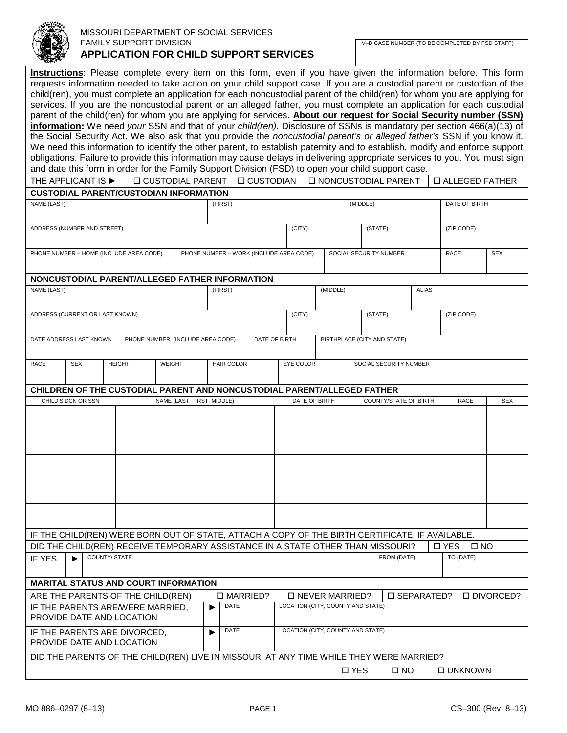

#### MISSOURI DEPARTMENT OF SOCIAL SERVICES FAMILY SUPPORT DIVISION **APPLICATION FOR CHILD SUPPORT SERVICES**

**Instructions**: Please complete every item on this form, even if you have given the information before. This form requests information needed to take action on your child support case. If you are a custodial parent or custodian of the child(ren), you must complete an application for each noncustodial parent of the child(ren) for whom you are applying for services. If you are the noncustodial parent or an alleged father, you must complete an application for each custodial parent of the child(ren) for whom you are applying for services. **About our request for Social Security number (SSN) information:** We need *your* SSN and that of your *child(ren).* Disclosure of SSNs is mandatory per section 466(a)(13) of the Social Security Act. We also ask that you provide the *noncustodial parent's or alleged father's* SSN if you know it. We need this information to identify the other parent, to establish paternity and to establish, modify and enforce support obligations. Failure to provide this information may cause delays in delivering appropriate services to you. You must sign and date this form in order for the Family Support Division (FSD) to open your child support case.

|                                                                                                                   | THE APPLICANT IS ▶                                                                              |               | <b>D CUSTODIAL PARENT</b>        |                            |  |                                         | □ CUSTODIAN   |  |               |  |          |                        | □ NONCUSTODIAL PARENT        |  |               |              | □ ALLEGED FATHER |
|-------------------------------------------------------------------------------------------------------------------|-------------------------------------------------------------------------------------------------|---------------|----------------------------------|----------------------------|--|-----------------------------------------|---------------|--|---------------|--|----------|------------------------|------------------------------|--|---------------|--------------|------------------|
|                                                                                                                   | <b>CUSTODIAL PARENT/CUSTODIAN INFORMATION</b>                                                   |               |                                  |                            |  |                                         |               |  |               |  |          |                        |                              |  |               |              |                  |
| NAME (LAST)                                                                                                       |                                                                                                 |               |                                  |                            |  | (FIRST)                                 |               |  |               |  |          | (MIDDLE)               |                              |  | DATE OF BIRTH |              |                  |
|                                                                                                                   | ADDRESS (NUMBER AND STREET)                                                                     |               |                                  |                            |  |                                         |               |  | (CITY)        |  |          |                        | (STATE)                      |  | (ZIP CODE)    |              |                  |
|                                                                                                                   |                                                                                                 |               |                                  |                            |  |                                         |               |  |               |  |          |                        |                              |  |               |              |                  |
|                                                                                                                   | PHONE NUMBER - HOME (INCLUDE AREA CODE)                                                         |               |                                  |                            |  | PHONE NUMBER - WORK (INCLUDE AREA CODE) |               |  |               |  |          | SOCIAL SECURITY NUMBER |                              |  | <b>RACE</b>   |              | <b>SEX</b>       |
|                                                                                                                   |                                                                                                 |               |                                  |                            |  |                                         |               |  |               |  |          |                        |                              |  |               |              |                  |
|                                                                                                                   | NONCUSTODIAL PARENT/ALLEGED FATHER INFORMATION                                                  |               |                                  |                            |  |                                         |               |  |               |  |          |                        |                              |  |               |              |                  |
| NAME (LAST)                                                                                                       |                                                                                                 |               |                                  |                            |  | (FIRST)                                 |               |  |               |  | (MIDDLE) | <b>ALIAS</b>           |                              |  |               |              |                  |
|                                                                                                                   |                                                                                                 |               |                                  |                            |  |                                         |               |  |               |  |          |                        |                              |  |               |              |                  |
|                                                                                                                   | ADDRESS (CURRENT OR LAST KNOWN)                                                                 |               |                                  |                            |  |                                         |               |  | (CITY)        |  |          |                        | (STATE)                      |  | (ZIP CODE)    |              |                  |
|                                                                                                                   |                                                                                                 |               |                                  |                            |  |                                         |               |  |               |  |          |                        |                              |  |               |              |                  |
|                                                                                                                   | DATE ADDRESS LAST KNOWN                                                                         |               | PHONE NUMBER (INCLUDE AREA CODE) |                            |  |                                         | DATE OF BIRTH |  |               |  |          |                        | BIRTHPLACE (CITY AND STATE)  |  |               |              |                  |
|                                                                                                                   |                                                                                                 | <b>HEIGHT</b> | <b>WEIGHT</b>                    |                            |  |                                         |               |  |               |  |          |                        |                              |  |               |              |                  |
| RACE                                                                                                              | <b>SEX</b>                                                                                      |               |                                  |                            |  | <b>HAIR COLOR</b>                       |               |  | EYE COLOR     |  |          |                        | SOCIAL SECURITY NUMBER       |  |               |              |                  |
|                                                                                                                   | CHILDREN OF THE CUSTODIAL PARENT AND NONCUSTODIAL PARENT/ALLEGED FATHER                         |               |                                  |                            |  |                                         |               |  |               |  |          |                        |                              |  |               |              |                  |
|                                                                                                                   | CHILD'S DCN OR SSN                                                                              |               |                                  | NAME (LAST, FIRST, MIDDLE) |  |                                         |               |  | DATE OF BIRTH |  |          |                        | <b>COUNTY/STATE OF BIRTH</b> |  | <b>RACE</b>   |              | <b>SEX</b>       |
|                                                                                                                   |                                                                                                 |               |                                  |                            |  |                                         |               |  |               |  |          |                        |                              |  |               |              |                  |
|                                                                                                                   |                                                                                                 |               |                                  |                            |  |                                         |               |  |               |  |          |                        |                              |  |               |              |                  |
|                                                                                                                   |                                                                                                 |               |                                  |                            |  |                                         |               |  |               |  |          |                        |                              |  |               |              |                  |
|                                                                                                                   |                                                                                                 |               |                                  |                            |  |                                         |               |  |               |  |          |                        |                              |  |               |              |                  |
|                                                                                                                   |                                                                                                 |               |                                  |                            |  |                                         |               |  |               |  |          |                        |                              |  |               |              |                  |
|                                                                                                                   |                                                                                                 |               |                                  |                            |  |                                         |               |  |               |  |          |                        |                              |  |               |              |                  |
|                                                                                                                   |                                                                                                 |               |                                  |                            |  |                                         |               |  |               |  |          |                        |                              |  |               |              |                  |
|                                                                                                                   |                                                                                                 |               |                                  |                            |  |                                         |               |  |               |  |          |                        |                              |  |               |              |                  |
|                                                                                                                   |                                                                                                 |               |                                  |                            |  |                                         |               |  |               |  |          |                        |                              |  |               |              |                  |
|                                                                                                                   | IF THE CHILD(REN) WERE BORN OUT OF STATE, ATTACH A COPY OF THE BIRTH CERTIFICATE, IF AVAILABLE. |               |                                  |                            |  |                                         |               |  |               |  |          |                        |                              |  |               |              |                  |
|                                                                                                                   | DID THE CHILD(REN) RECEIVE TEMPORARY ASSISTANCE IN A STATE OTHER THAN MISSOURI?                 |               |                                  |                            |  |                                         |               |  |               |  |          |                        |                              |  | <b>D</b> YES  | $\square$ NO |                  |
| IF YES                                                                                                            | $\blacktriangleright$                                                                           | COUNTY/ STATE |                                  |                            |  |                                         |               |  |               |  |          |                        | FROM (DATE)                  |  | TO (DATE)     |              |                  |
|                                                                                                                   |                                                                                                 |               |                                  |                            |  |                                         |               |  |               |  |          |                        |                              |  |               |              |                  |
|                                                                                                                   | <b>MARITAL STATUS AND COURT INFORMATION</b>                                                     |               |                                  |                            |  |                                         |               |  |               |  |          |                        |                              |  |               |              |                  |
| □ MARRIED?<br><b>D NEVER MARRIED?</b><br>□ SEPARATED?<br><b>O DIVORCED?</b><br>ARE THE PARENTS OF THE CHILD(REN)  |                                                                                                 |               |                                  |                            |  |                                         |               |  |               |  |          |                        |                              |  |               |              |                  |
| LOCATION (CITY, COUNTY AND STATE)<br><b>DATE</b><br>IF THE PARENTS ARE/WERE MARRIED,<br>PROVIDE DATE AND LOCATION |                                                                                                 |               |                                  |                            |  |                                         |               |  |               |  |          |                        |                              |  |               |              |                  |
|                                                                                                                   |                                                                                                 |               |                                  |                            |  |                                         |               |  |               |  |          |                        |                              |  |               |              |                  |
| LOCATION (CITY, COUNTY AND STATE)<br>DATE<br>IF THE PARENTS ARE DIVORCED,<br>▶<br>PROVIDE DATE AND LOCATION       |                                                                                                 |               |                                  |                            |  |                                         |               |  |               |  |          |                        |                              |  |               |              |                  |
|                                                                                                                   |                                                                                                 |               |                                  |                            |  |                                         |               |  |               |  |          |                        |                              |  |               |              |                  |
|                                                                                                                   | DID THE PARENTS OF THE CHILD(REN) LIVE IN MISSOURI AT ANY TIME WHILE THEY WERE MARRIED?         |               |                                  |                            |  |                                         |               |  |               |  |          |                        |                              |  |               |              |                  |

YES NO UNKNOWN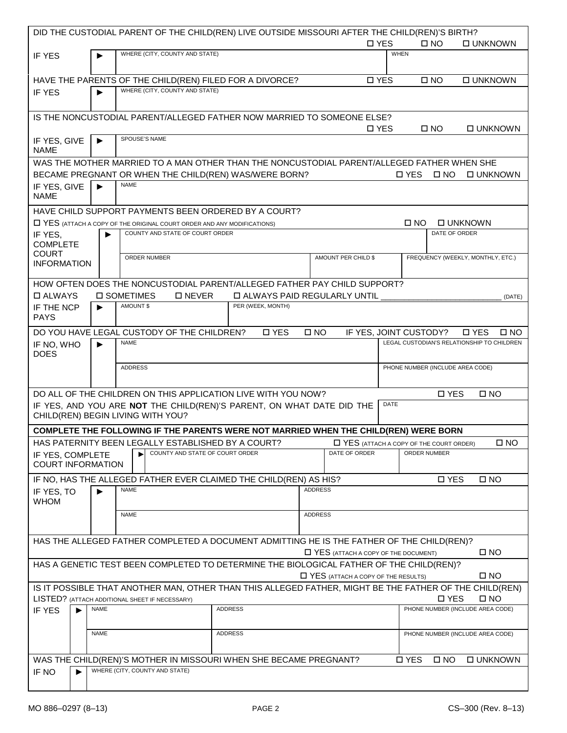|                             |                       | DID THE CUSTODIAL PARENT OF THE CHILD(REN) LIVE OUTSIDE MISSOURI AFTER THE CHILD(REN)'S BIRTH?         |                                      |                                           |       |                                                  |               |                                                  |
|-----------------------------|-----------------------|--------------------------------------------------------------------------------------------------------|--------------------------------------|-------------------------------------------|-------|--------------------------------------------------|---------------|--------------------------------------------------|
|                             |                       |                                                                                                        |                                      |                                           | □ YES |                                                  | $\square$ NO  | <b>DUNKNOWN</b>                                  |
| IF YES                      |                       | WHERE (CITY, COUNTY AND STATE)                                                                         |                                      |                                           |       | <b>WHEN</b>                                      |               |                                                  |
|                             |                       |                                                                                                        |                                      |                                           |       |                                                  |               |                                                  |
|                             |                       |                                                                                                        |                                      |                                           |       |                                                  |               |                                                  |
|                             |                       | HAVE THE PARENTS OF THE CHILD(REN) FILED FOR A DIVORCE?                                                |                                      |                                           | □ YES |                                                  | $\square$ NO  | □ UNKNOWN                                        |
| <b>IF YES</b>               |                       | WHERE (CITY, COUNTY AND STATE)                                                                         |                                      |                                           |       |                                                  |               |                                                  |
|                             |                       |                                                                                                        |                                      |                                           |       |                                                  |               |                                                  |
|                             |                       | IS THE NONCUSTODIAL PARENT/ALLEGED FATHER NOW MARRIED TO SOMEONE ELSE?                                 |                                      |                                           |       |                                                  |               |                                                  |
|                             |                       |                                                                                                        |                                      |                                           | □ YES |                                                  | $\square$ NO  | □ UNKNOWN                                        |
| IF YES, GIVE                | ▶                     | SPOUSE'S NAME                                                                                          |                                      |                                           |       |                                                  |               |                                                  |
| <b>NAME</b>                 |                       |                                                                                                        |                                      |                                           |       |                                                  |               |                                                  |
|                             |                       | WAS THE MOTHER MARRIED TO A MAN OTHER THAN THE NONCUSTODIAL PARENT/ALLEGED FATHER WHEN SHE             |                                      |                                           |       |                                                  |               |                                                  |
|                             |                       | BECAME PREGNANT OR WHEN THE CHILD(REN) WAS/WERE BORN?                                                  |                                      |                                           |       | <b>D</b> YES                                     | $\square$ NO  | □ UNKNOWN                                        |
|                             | $\blacktriangleright$ | <b>NAME</b>                                                                                            |                                      |                                           |       |                                                  |               |                                                  |
| IF YES, GIVE<br><b>NAME</b> |                       |                                                                                                        |                                      |                                           |       |                                                  |               |                                                  |
|                             |                       |                                                                                                        |                                      |                                           |       |                                                  |               |                                                  |
|                             |                       | HAVE CHILD SUPPORT PAYMENTS BEEN ORDERED BY A COURT?                                                   |                                      |                                           |       |                                                  |               |                                                  |
|                             |                       | T YES (ATTACH A COPY OF THE ORIGINAL COURT ORDER AND ANY MODIFICATIONS)                                |                                      |                                           |       | O NO                                             |               | <b>DUNKNOWN</b>                                  |
| IF YES,                     |                       | COUNTY AND STATE OF COURT ORDER                                                                        |                                      |                                           |       |                                                  | DATE OF ORDER |                                                  |
| <b>COMPLETE</b>             |                       |                                                                                                        |                                      |                                           |       |                                                  |               |                                                  |
| <b>COURT</b>                |                       | ORDER NUMBER                                                                                           |                                      | AMOUNT PER CHILD \$                       |       |                                                  |               | FREQUENCY (WEEKLY, MONTHLY, ETC.)                |
| <b>INFORMATION</b>          |                       |                                                                                                        |                                      |                                           |       |                                                  |               |                                                  |
|                             |                       |                                                                                                        |                                      |                                           |       |                                                  |               |                                                  |
|                             |                       | HOW OFTEN DOES THE NONCUSTODIAL PARENT/ALLEGED FATHER PAY CHILD SUPPORT?                               |                                      |                                           |       |                                                  |               |                                                  |
| □ ALWAYS                    |                       | □ SOMETIMES<br>□ NEVER                                                                                 | <b>D ALWAYS PAID REGULARLY UNTIL</b> |                                           |       |                                                  |               | (DATE)                                           |
| IF THE NCP                  | $\blacktriangleright$ | AMOUNT \$                                                                                              | PER (WEEK, MONTH)                    |                                           |       |                                                  |               |                                                  |
| <b>PAYS</b>                 |                       |                                                                                                        |                                      |                                           |       |                                                  |               |                                                  |
|                             |                       | DO YOU HAVE LEGAL CUSTODY OF THE CHILDREN?                                                             | □ YES                                | $\square$ NO                              |       | IF YES, JOINT CUSTODY?                           |               | <b>D</b> YES<br>$\square$ NO                     |
| IF NO, WHO                  |                       | <b>NAME</b>                                                                                            |                                      |                                           |       |                                                  |               | LEGAL CUSTODIAN'S RELATIONSHIP TO CHILDREN       |
| <b>DOES</b>                 |                       |                                                                                                        |                                      |                                           |       |                                                  |               |                                                  |
|                             |                       | <b>ADDRESS</b>                                                                                         |                                      |                                           |       | PHONE NUMBER (INCLUDE AREA CODE)                 |               |                                                  |
|                             |                       |                                                                                                        |                                      |                                           |       |                                                  |               |                                                  |
|                             |                       |                                                                                                        |                                      |                                           |       |                                                  |               |                                                  |
|                             |                       | DO ALL OF THE CHILDREN ON THIS APPLICATION LIVE WITH YOU NOW?                                          |                                      |                                           |       |                                                  | <b>D</b> YES  | $\square$ NO                                     |
|                             |                       | IF YES, AND YOU ARE NOT THE CHILD(REN)'S PARENT, ON WHAT DATE DID THE                                  |                                      |                                           |       | <b>DATE</b>                                      |               |                                                  |
|                             |                       | CHILD(REN) BEGIN LIVING WITH YOU?                                                                      |                                      |                                           |       |                                                  |               |                                                  |
|                             |                       | COMPLETE THE FOLLOWING IF THE PARENTS WERE NOT MARRIED WHEN THE CHILD(REN) WERE BORN                   |                                      |                                           |       |                                                  |               |                                                  |
|                             |                       | HAS PATERNITY BEEN LEGALLY ESTABLISHED BY A COURT?                                                     |                                      |                                           |       | <b>LI YES</b> (ATTACH A COPY OF THE COURT ORDER) |               | $\square$ NO                                     |
| IF YES, COMPLETE            |                       | COUNTY AND STATE OF COURT ORDER<br>▶                                                                   |                                      | DATE OF ORDER                             |       |                                                  | ORDER NUMBER  |                                                  |
| <b>COURT INFORMATION</b>    |                       |                                                                                                        |                                      |                                           |       |                                                  |               |                                                  |
|                             |                       |                                                                                                        |                                      |                                           |       |                                                  | □ YES         |                                                  |
|                             |                       | IF NO, HAS THE ALLEGED FATHER EVER CLAIMED THE CHILD(REN) AS HIS?                                      |                                      |                                           |       |                                                  |               | $\square$ NO                                     |
| IF YES, TO                  | ▶                     | <b>NAME</b>                                                                                            |                                      | <b>ADDRESS</b>                            |       |                                                  |               |                                                  |
| <b>WHOM</b>                 |                       |                                                                                                        |                                      |                                           |       |                                                  |               |                                                  |
|                             |                       | <b>NAME</b>                                                                                            |                                      | <b>ADDRESS</b>                            |       |                                                  |               |                                                  |
|                             |                       |                                                                                                        |                                      |                                           |       |                                                  |               |                                                  |
|                             |                       | HAS THE ALLEGED FATHER COMPLETED A DOCUMENT ADMITTING HE IS THE FATHER OF THE CHILD(REN)?              |                                      |                                           |       |                                                  |               |                                                  |
|                             |                       |                                                                                                        |                                      | T YES (ATTACH A COPY OF THE DOCUMENT)     |       |                                                  |               | $\square$ NO                                     |
|                             |                       | HAS A GENETIC TEST BEEN COMPLETED TO DETERMINE THE BIOLOGICAL FATHER OF THE CHILD(REN)?                |                                      |                                           |       |                                                  |               |                                                  |
|                             |                       |                                                                                                        |                                      | $\Box$ YES (ATTACH A COPY OF THE RESULTS) |       |                                                  |               | $\square$ NO                                     |
|                             |                       |                                                                                                        |                                      |                                           |       |                                                  |               |                                                  |
|                             |                       | IS IT POSSIBLE THAT ANOTHER MAN, OTHER THAN THIS ALLEGED FATHER, MIGHT BE THE FATHER OF THE CHILD(REN) |                                      |                                           |       |                                                  | <b>D</b> YES  |                                                  |
|                             |                       | LISTED? (ATTACH ADDITIONAL SHEET IF NECESSARY)                                                         | <b>ADDRESS</b>                       |                                           |       |                                                  |               | $\square$ NO<br>PHONE NUMBER (INCLUDE AREA CODE) |
| IF YES                      | <b>NAME</b>           |                                                                                                        |                                      |                                           |       |                                                  |               |                                                  |
|                             |                       |                                                                                                        |                                      |                                           |       |                                                  |               |                                                  |
|                             | <b>NAME</b>           |                                                                                                        | <b>ADDRESS</b>                       |                                           |       |                                                  |               | PHONE NUMBER (INCLUDE AREA CODE)                 |
|                             |                       |                                                                                                        |                                      |                                           |       |                                                  |               |                                                  |
|                             |                       | WAS THE CHILD(REN)'S MOTHER IN MISSOURI WHEN SHE BECAME PREGNANT?                                      |                                      |                                           |       | □ YES                                            | $\square$ NO  | □ UNKNOWN                                        |
| IF NO                       |                       | WHERE (CITY, COUNTY AND STATE)                                                                         |                                      |                                           |       |                                                  |               |                                                  |
|                             |                       |                                                                                                        |                                      |                                           |       |                                                  |               |                                                  |
|                             |                       |                                                                                                        |                                      |                                           |       |                                                  |               |                                                  |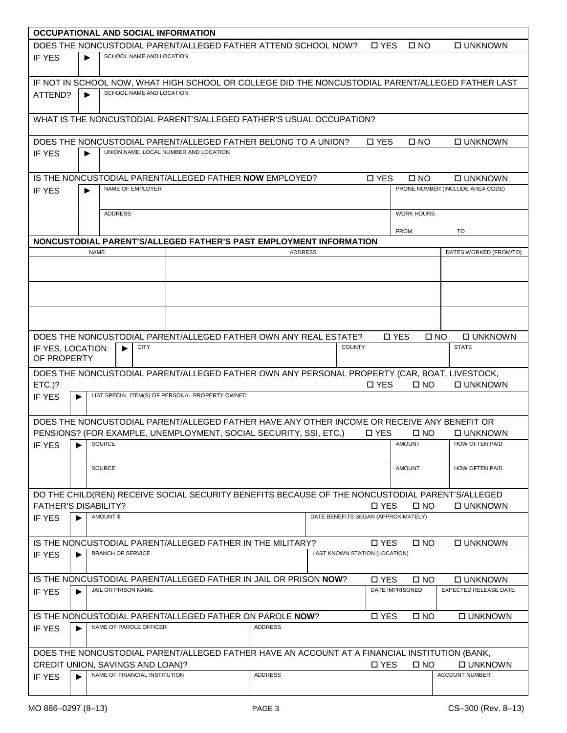| <b>OCCUPATIONAL AND SOCIAL INFORMATION</b>                                                    |                       |                               |                          |                                       |  |                                                                      |                                     |                               |                         |                                                                                                   |
|-----------------------------------------------------------------------------------------------|-----------------------|-------------------------------|--------------------------|---------------------------------------|--|----------------------------------------------------------------------|-------------------------------------|-------------------------------|-------------------------|---------------------------------------------------------------------------------------------------|
|                                                                                               |                       |                               |                          |                                       |  | DOES THE NONCUSTODIAL PARENT/ALLEGED FATHER ATTEND SCHOOL NOW?       |                                     | □ YES                         | $\square$ NO            | □ UNKNOWN                                                                                         |
| <b>IF YES</b>                                                                                 |                       |                               | SCHOOL NAME AND LOCATION |                                       |  |                                                                      |                                     |                               |                         |                                                                                                   |
|                                                                                               |                       |                               |                          |                                       |  |                                                                      |                                     |                               |                         |                                                                                                   |
|                                                                                               |                       |                               |                          |                                       |  |                                                                      |                                     |                               |                         | IF NOT IN SCHOOL NOW, WHAT HIGH SCHOOL OR COLLEGE DID THE NONCUSTODIAL PARENT/ALLEGED FATHER LAST |
| ATTEND?                                                                                       | $\blacktriangleright$ |                               | SCHOOL NAME AND LOCATION |                                       |  |                                                                      |                                     |                               |                         |                                                                                                   |
|                                                                                               |                       |                               |                          |                                       |  |                                                                      |                                     |                               |                         |                                                                                                   |
|                                                                                               |                       |                               |                          |                                       |  | WHAT IS THE NONCUSTODIAL PARENT'S/ALLEGED FATHER'S USUAL OCCUPATION? |                                     |                               |                         |                                                                                                   |
|                                                                                               |                       |                               |                          |                                       |  |                                                                      |                                     |                               |                         |                                                                                                   |
|                                                                                               |                       |                               |                          |                                       |  | DOES THE NONCUSTODIAL PARENT/ALLEGED FATHER BELONG TO A UNION?       |                                     | <b>D</b> YES                  | $\square$ NO            | <b>DUNKNOWN</b>                                                                                   |
| IF YES                                                                                        |                       |                               |                          | UNION NAME, LOCAL NUMBER AND LOCATION |  |                                                                      |                                     |                               |                         |                                                                                                   |
|                                                                                               |                       |                               |                          |                                       |  |                                                                      |                                     |                               |                         |                                                                                                   |
|                                                                                               |                       |                               |                          |                                       |  | IS THE NONCUSTODIAL PARENT/ALLEGED FATHER NOW EMPLOYED?              |                                     | <b>D</b> YES                  | $\square$ NO            | <b>DUNKNOWN</b>                                                                                   |
| IF YES                                                                                        |                       | NAME OF EMPLOYER              |                          |                                       |  |                                                                      |                                     |                               |                         | PHONE NUMBER (INCLUDE AREA CODE)                                                                  |
|                                                                                               |                       |                               |                          |                                       |  |                                                                      |                                     |                               |                         |                                                                                                   |
|                                                                                               |                       | <b>ADDRESS</b>                |                          |                                       |  |                                                                      |                                     |                               | <b>WORK HOURS</b>       |                                                                                                   |
|                                                                                               |                       |                               |                          |                                       |  |                                                                      |                                     |                               |                         |                                                                                                   |
|                                                                                               |                       |                               |                          |                                       |  |                                                                      |                                     |                               | <b>FROM</b>             | TO                                                                                                |
|                                                                                               |                       |                               |                          |                                       |  | NONCUSTODIAL PARENT'S/ALLEGED FATHER'S PAST EMPLOYMENT INFORMATION   |                                     |                               |                         |                                                                                                   |
|                                                                                               | <b>NAME</b>           |                               |                          |                                       |  | <b>ADDRESS</b>                                                       |                                     |                               |                         | DATES WORKED (FROM/TO)                                                                            |
|                                                                                               |                       |                               |                          |                                       |  |                                                                      |                                     |                               |                         |                                                                                                   |
|                                                                                               |                       |                               |                          |                                       |  |                                                                      |                                     |                               |                         |                                                                                                   |
|                                                                                               |                       |                               |                          |                                       |  |                                                                      |                                     |                               |                         |                                                                                                   |
|                                                                                               |                       |                               |                          |                                       |  |                                                                      |                                     |                               |                         |                                                                                                   |
|                                                                                               |                       |                               |                          |                                       |  |                                                                      |                                     |                               |                         |                                                                                                   |
|                                                                                               |                       |                               |                          |                                       |  |                                                                      |                                     |                               |                         |                                                                                                   |
|                                                                                               |                       |                               |                          |                                       |  | DOES THE NONCUSTODIAL PARENT/ALLEGED FATHER OWN ANY REAL ESTATE?     |                                     |                               | □ YES                   | <b>O UNKNOWN</b><br>$\square$ NO                                                                  |
| IF YES, LOCATION                                                                              |                       | ь                             | <b>CITY</b>              |                                       |  |                                                                      |                                     | <b>COUNTY</b>                 |                         | <b>STATE</b>                                                                                      |
| OF PROPERTY                                                                                   |                       |                               |                          |                                       |  |                                                                      |                                     |                               |                         |                                                                                                   |
|                                                                                               |                       |                               |                          |                                       |  |                                                                      |                                     |                               |                         | DOES THE NONCUSTODIAL PARENT/ALLEGED FATHER OWN ANY PERSONAL PROPERTY (CAR, BOAT, LIVESTOCK,      |
| $ETC.$ ?                                                                                      |                       |                               |                          |                                       |  |                                                                      |                                     | □ YES                         | $\square$ NO            | <b>DUNKNOWN</b>                                                                                   |
| LIST SPECIAL ITEM(S) OF PERSONAL PROPERTY OWNED<br>IF YES<br>▶                                |                       |                               |                          |                                       |  |                                                                      |                                     |                               |                         |                                                                                                   |
|                                                                                               |                       |                               |                          |                                       |  |                                                                      |                                     |                               |                         |                                                                                                   |
|                                                                                               |                       |                               |                          |                                       |  |                                                                      |                                     |                               |                         | DOES THE NONCUSTODIAL PARENT/ALLEGED FATHER HAVE ANY OTHER INCOME OR RECEIVE ANY BENEFIT OR       |
|                                                                                               |                       |                               |                          |                                       |  | PENSIONS? (FOR EXAMPLE, UNEMPLOYMENT, SOCIAL SECURITY, SSI, ETC.)    |                                     | □ YES                         | □ NO                    | □ UNKNOWN                                                                                         |
| IF YES FILSOURCE                                                                              |                       |                               |                          |                                       |  |                                                                      |                                     |                               | AMOUNT                  | HOW OFTEN PAID                                                                                    |
|                                                                                               |                       |                               |                          |                                       |  |                                                                      |                                     |                               |                         |                                                                                                   |
|                                                                                               |                       | SOURCE                        |                          |                                       |  |                                                                      |                                     |                               | <b>AMOUNT</b>           | HOW OFTEN PAID                                                                                    |
|                                                                                               |                       |                               |                          |                                       |  |                                                                      |                                     |                               |                         |                                                                                                   |
|                                                                                               |                       |                               |                          |                                       |  |                                                                      |                                     |                               |                         | DO THE CHILD(REN) RECEIVE SOCIAL SECURITY BENEFITS BECAUSE OF THE NONCUSTODIAL PARENT'S/ALLEGED   |
| <b>FATHER'S DISABILITY?</b>                                                                   |                       |                               |                          |                                       |  |                                                                      |                                     | □ YES                         | $\square$ NO            | <b>DUNKNOWN</b>                                                                                   |
| <b>IF YES</b>                                                                                 | Þ                     | AMOUNT \$                     |                          |                                       |  |                                                                      | DATE BENEFITS BEGAN (APPROXIMATELY) |                               |                         |                                                                                                   |
|                                                                                               |                       |                               |                          |                                       |  |                                                                      |                                     |                               |                         |                                                                                                   |
|                                                                                               |                       |                               |                          |                                       |  | IS THE NONCUSTODIAL PARENT/ALLEGED FATHER IN THE MILITARY?           |                                     | □ YES                         | $\square$ NO            | <b>O UNKNOWN</b>                                                                                  |
| IF YES                                                                                        | ▶                     | <b>BRANCH OF SERVICE</b>      |                          |                                       |  |                                                                      |                                     | LAST KNOWN STATION (LOCATION) |                         |                                                                                                   |
|                                                                                               |                       |                               |                          |                                       |  |                                                                      |                                     |                               |                         |                                                                                                   |
|                                                                                               |                       |                               |                          |                                       |  | IS THE NONCUSTODIAL PARENT/ALLEGED FATHER IN JAIL OR PRISON NOW?     |                                     | <b>D</b> YES                  |                         |                                                                                                   |
|                                                                                               |                       | JAIL OR PRISON NAME           |                          |                                       |  |                                                                      |                                     |                               | □ NO<br>DATE IMPRISONED | □ UNKNOWN<br><b>EXPECTED RELEASE DATE</b>                                                         |
| IF YES                                                                                        | Þ                     |                               |                          |                                       |  |                                                                      |                                     |                               |                         |                                                                                                   |
|                                                                                               |                       |                               |                          |                                       |  |                                                                      |                                     |                               |                         |                                                                                                   |
|                                                                                               |                       |                               |                          |                                       |  | IS THE NONCUSTODIAL PARENT/ALLEGED FATHER ON PAROLE NOW?             |                                     | □ YES                         | □ NO                    | □ UNKNOWN                                                                                         |
| IF YES                                                                                        |                       | NAME OF PAROLE OFFICER        |                          |                                       |  | <b>ADDRESS</b>                                                       |                                     |                               |                         |                                                                                                   |
|                                                                                               |                       |                               |                          |                                       |  |                                                                      |                                     |                               |                         |                                                                                                   |
| DOES THE NONCUSTODIAL PARENT/ALLEGED FATHER HAVE AN ACCOUNT AT A FINANCIAL INSTITUTION (BANK, |                       |                               |                          |                                       |  |                                                                      |                                     |                               |                         |                                                                                                   |
| CREDIT UNION, SAVINGS AND LOAN)?                                                              |                       |                               |                          |                                       |  |                                                                      |                                     | <b>D</b> YES                  | $\square$ NO            | □ UNKNOWN                                                                                         |
| IF YES                                                                                        | ▶                     | NAME OF FINANCIAL INSTITUTION |                          |                                       |  | <b>ADDRESS</b>                                                       |                                     |                               |                         | ACCOUNT NUMBER                                                                                    |
|                                                                                               |                       |                               |                          |                                       |  |                                                                      |                                     |                               |                         |                                                                                                   |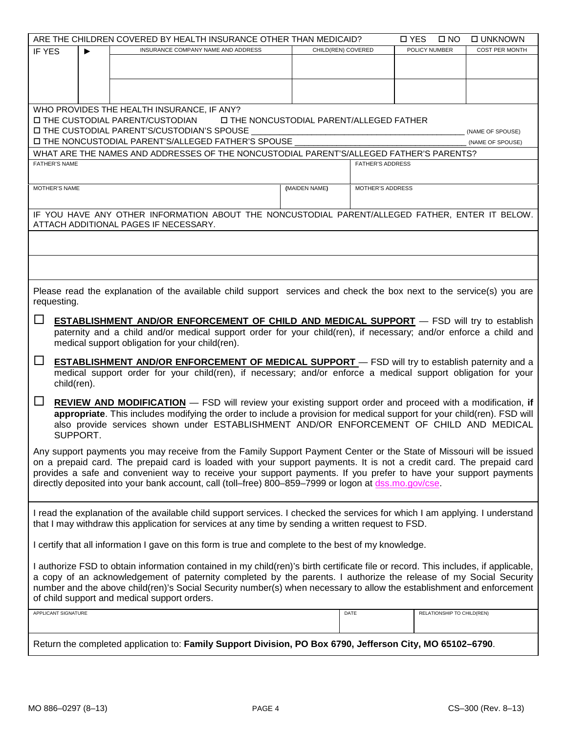|                                                                                                                                                                                                                                                                                                                                                                                                                                                                       |                       | ARE THE CHILDREN COVERED BY HEALTH INSURANCE OTHER THAN MEDICAID?                                                                        |                                                |                         | <b>D</b> YES<br>$\square$ NO | <b>DUNKNOWN</b>  |  |  |
|-----------------------------------------------------------------------------------------------------------------------------------------------------------------------------------------------------------------------------------------------------------------------------------------------------------------------------------------------------------------------------------------------------------------------------------------------------------------------|-----------------------|------------------------------------------------------------------------------------------------------------------------------------------|------------------------------------------------|-------------------------|------------------------------|------------------|--|--|
| <b>IF YES</b>                                                                                                                                                                                                                                                                                                                                                                                                                                                         | $\blacktriangleright$ | INSURANCE COMPANY NAME AND ADDRESS                                                                                                       | CHILD(REN) COVERED                             |                         | POLICY NUMBER                | COST PER MONTH   |  |  |
|                                                                                                                                                                                                                                                                                                                                                                                                                                                                       |                       |                                                                                                                                          |                                                |                         |                              |                  |  |  |
|                                                                                                                                                                                                                                                                                                                                                                                                                                                                       |                       |                                                                                                                                          |                                                |                         |                              |                  |  |  |
|                                                                                                                                                                                                                                                                                                                                                                                                                                                                       |                       |                                                                                                                                          |                                                |                         |                              |                  |  |  |
|                                                                                                                                                                                                                                                                                                                                                                                                                                                                       |                       |                                                                                                                                          |                                                |                         |                              |                  |  |  |
|                                                                                                                                                                                                                                                                                                                                                                                                                                                                       |                       | WHO PROVIDES THE HEALTH INSURANCE, IF ANY?                                                                                               |                                                |                         |                              |                  |  |  |
|                                                                                                                                                                                                                                                                                                                                                                                                                                                                       |                       | □ THE CUSTODIAL PARENT/CUSTODIAN                                                                                                         | <b>ITHE NONCUSTODIAL PARENT/ALLEGED FATHER</b> |                         |                              |                  |  |  |
|                                                                                                                                                                                                                                                                                                                                                                                                                                                                       |                       | I THE CUSTODIAL PARENT'S/CUSTODIAN'S SPOUSE                                                                                              |                                                |                         |                              | (NAME OF SPOUSE) |  |  |
|                                                                                                                                                                                                                                                                                                                                                                                                                                                                       |                       | I THE NONCUSTODIAL PARENT'S/ALLEGED FATHER'S SPOUSE                                                                                      |                                                |                         |                              | (NAME OF SPOUSE) |  |  |
|                                                                                                                                                                                                                                                                                                                                                                                                                                                                       |                       | WHAT ARE THE NAMES AND ADDRESSES OF THE NONCUSTODIAL PARENT'S/ALLEGED FATHER'S PARENTS?                                                  |                                                |                         |                              |                  |  |  |
| <b>FATHER'S NAME</b><br><b>FATHER'S ADDRESS</b>                                                                                                                                                                                                                                                                                                                                                                                                                       |                       |                                                                                                                                          |                                                |                         |                              |                  |  |  |
|                                                                                                                                                                                                                                                                                                                                                                                                                                                                       |                       |                                                                                                                                          |                                                |                         |                              |                  |  |  |
| MOTHER'S NAME                                                                                                                                                                                                                                                                                                                                                                                                                                                         |                       |                                                                                                                                          | (MAIDEN NAME)                                  | <b>MOTHER'S ADDRESS</b> |                              |                  |  |  |
|                                                                                                                                                                                                                                                                                                                                                                                                                                                                       |                       |                                                                                                                                          |                                                |                         |                              |                  |  |  |
|                                                                                                                                                                                                                                                                                                                                                                                                                                                                       |                       | IF YOU HAVE ANY OTHER INFORMATION ABOUT THE NONCUSTODIAL PARENT/ALLEGED FATHER, ENTER IT BELOW.<br>ATTACH ADDITIONAL PAGES IF NECESSARY. |                                                |                         |                              |                  |  |  |
|                                                                                                                                                                                                                                                                                                                                                                                                                                                                       |                       |                                                                                                                                          |                                                |                         |                              |                  |  |  |
|                                                                                                                                                                                                                                                                                                                                                                                                                                                                       |                       |                                                                                                                                          |                                                |                         |                              |                  |  |  |
| requesting.                                                                                                                                                                                                                                                                                                                                                                                                                                                           |                       | Please read the explanation of the available child support services and check the box next to the service(s) you are                     |                                                |                         |                              |                  |  |  |
|                                                                                                                                                                                                                                                                                                                                                                                                                                                                       |                       |                                                                                                                                          |                                                |                         |                              |                  |  |  |
| $\Box$                                                                                                                                                                                                                                                                                                                                                                                                                                                                |                       | <b>ESTABLISHMENT AND/OR ENFORCEMENT OF CHILD AND MEDICAL SUPPORT</b> - FSD will try to establish                                         |                                                |                         |                              |                  |  |  |
|                                                                                                                                                                                                                                                                                                                                                                                                                                                                       |                       | paternity and a child and/or medical support order for your child(ren), if necessary; and/or enforce a child and                         |                                                |                         |                              |                  |  |  |
|                                                                                                                                                                                                                                                                                                                                                                                                                                                                       |                       | medical support obligation for your child(ren).                                                                                          |                                                |                         |                              |                  |  |  |
| $\Box$                                                                                                                                                                                                                                                                                                                                                                                                                                                                |                       |                                                                                                                                          |                                                |                         |                              |                  |  |  |
| <b>ESTABLISHMENT AND/OR ENFORCEMENT OF MEDICAL SUPPORT</b> - FSD will try to establish paternity and a<br>medical support order for your child(ren), if necessary; and/or enforce a medical support obligation for your                                                                                                                                                                                                                                               |                       |                                                                                                                                          |                                                |                         |                              |                  |  |  |
| child(ren).                                                                                                                                                                                                                                                                                                                                                                                                                                                           |                       |                                                                                                                                          |                                                |                         |                              |                  |  |  |
| $\Box$<br><b>REVIEW AND MODIFICATION</b> – FSD will review your existing support order and proceed with a modification, if<br>appropriate. This includes modifying the order to include a provision for medical support for your child(ren). FSD will<br>also provide services shown under ESTABLISHMENT AND/OR ENFORCEMENT OF CHILD AND MEDICAL<br>SUPPORT.                                                                                                          |                       |                                                                                                                                          |                                                |                         |                              |                  |  |  |
|                                                                                                                                                                                                                                                                                                                                                                                                                                                                       |                       |                                                                                                                                          |                                                |                         |                              |                  |  |  |
| Any support payments you may receive from the Family Support Payment Center or the State of Missouri will be issued<br>on a prepaid card. The prepaid card is loaded with your support payments. It is not a credit card. The prepaid card<br>provides a safe and convenient way to receive your support payments. If you prefer to have your support payments<br>directly deposited into your bank account, call (toll-free) 800-859-7999 or logon at dss.mo.gov/cse |                       |                                                                                                                                          |                                                |                         |                              |                  |  |  |
| I read the explanation of the available child support services. I checked the services for which I am applying. I understand<br>that I may withdraw this application for services at any time by sending a written request to FSD.                                                                                                                                                                                                                                    |                       |                                                                                                                                          |                                                |                         |                              |                  |  |  |
| I certify that all information I gave on this form is true and complete to the best of my knowledge.                                                                                                                                                                                                                                                                                                                                                                  |                       |                                                                                                                                          |                                                |                         |                              |                  |  |  |
| I authorize FSD to obtain information contained in my child(ren)'s birth certificate file or record. This includes, if applicable,<br>a copy of an acknowledgement of paternity completed by the parents. I authorize the release of my Social Security<br>number and the above child(ren)'s Social Security number(s) when necessary to allow the establishment and enforcement<br>of child support and medical support orders.                                      |                       |                                                                                                                                          |                                                |                         |                              |                  |  |  |
| APPLICANT SIGNATURE                                                                                                                                                                                                                                                                                                                                                                                                                                                   |                       |                                                                                                                                          |                                                | DATE                    | RELATIONSHIP TO CHILD(REN)   |                  |  |  |
|                                                                                                                                                                                                                                                                                                                                                                                                                                                                       |                       | Return the completed application to: Family Support Division, PO Box 6790, Jefferson City, MO 65102-6790.                                |                                                |                         |                              |                  |  |  |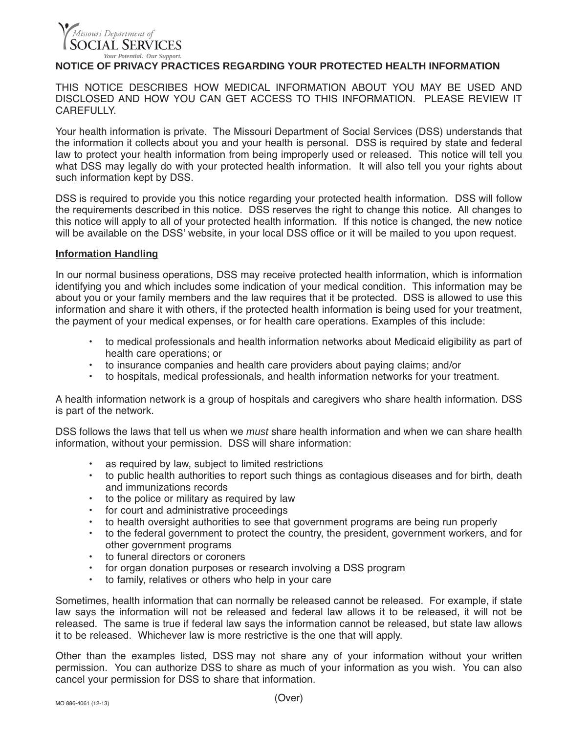# .<br>Missouri Department of **SOCIAL SERVICES** *Your Potential. Our Support.*

## **NOTICE OF PRIVACY PRACTICES REGARDING YOUR PROTECTED HEALTH INFORMATION**

THIS NOTICE DESCRIBES HOW MEDICAL INFORMATION ABOUT YOU MAY BE USED AND DISCLOSED AND HOW YOU CAN GET ACCESS TO THIS INFORMATION. PLEASE REVIEW IT **CAREFULLY** 

Your health information is private. The Missouri Department of Social Services (DSS) understands that the information it collects about you and your health is personal. DSS is required by state and federal law to protect your health information from being improperly used or released. This notice will tell you what DSS may legally do with your protected health information. It will also tell you your rights about such information kept by DSS.

DSS is required to provide you this notice regarding your protected health information. DSS will follow the requirements described in this notice. DSS reserves the right to change this notice. All changes to this notice will apply to all of your protected health information. If this notice is changed, the new notice will be available on the DSS' website, in your local DSS office or it will be mailed to you upon request.

### **Information Handling**

In our normal business operations, DSS may receive protected health information, which is information identifying you and which includes some indication of your medical condition. This information may be about you or your family members and the law requires that it be protected. DSS is allowed to use this information and share it with others, if the protected health information is being used for your treatment, the payment of your medical expenses, or for health care operations. Examples of this include:

- to medical professionals and health information networks about Medicaid eligibility as part of health care operations; or
- to insurance companies and health care providers about paying claims; and/or
- to hospitals, medical professionals, and health information networks for your treatment.

A health information network is a group of hospitals and caregivers who share health information. DSS is part of the network.

DSS follows the laws that tell us when we *must* share health information and when we can share health information, without your permission. DSS will share information:

- as required by law, subject to limited restrictions
- to public health authorities to report such things as contagious diseases and for birth, death and immunizations records
- to the police or military as required by law
- for court and administrative proceedings
- to health oversight authorities to see that government programs are being run properly
- to the federal government to protect the country, the president, government workers, and for other government programs
- to funeral directors or coroners
- for organ donation purposes or research involving a DSS program
- to family, relatives or others who help in your care

Sometimes, health information that can normally be released cannot be released. For example, if state law says the information will not be released and federal law allows it to be released, it will not be released. The same is true if federal law says the information cannot be released, but state law allows it to be released. Whichever law is more restrictive is the one that will apply.

Other than the examples listed, DSS may not share any of your information without your written permission. You can authorize DSS to share as much of your information as you wish. You can also cancel your permission for DSS to share that information.